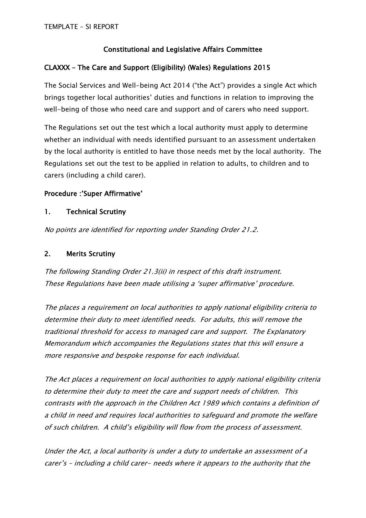# **Constitutional and Legislative Affairs Committee**

## **CLAXXX – The Care and Support (Eligibility) (Wales) Regulations 2015**

The Social Services and Well-being Act 2014 ("the Act") provides a single Act which brings together local authorities' duties and functions in relation to improving the well-being of those who need care and support and of carers who need support.

The Regulations set out the test which a local authority must apply to determine whether an individual with needs identified pursuant to an assessment undertaken by the local authority is entitled to have those needs met by the local authority. The Regulations set out the test to be applied in relation to adults, to children and to carers (including a child carer).

## **Procedure :'Super Affirmative'**

### **1. Technical Scrutiny**

*No points are identified for reporting under Standing Order 21.2.*

### **2. Merits Scrutiny**

*The following Standing Order 21.3(ii) in respect of this draft instrument. These Regulations have been made utilising <sup>a</sup> 'super affirmative' procedure.* 

*The places <sup>a</sup> requirement on local authorities to apply national eligibility criteria to determine their duty to meet identified needs. For adults, this will remove the traditional threshold for access to managed care and support. The Explanatory Memorandum which accompanies the Regulations states that this will ensure <sup>a</sup> more responsive and bespoke response for each individual.*

*The Act places <sup>a</sup> requirement on local authorities to apply national eligibility criteria to determine their duty to meet the care and support needs of children. This contrasts with the approach in the Children Act 1989 which contains <sup>a</sup> definition of <sup>a</sup> child in need and requires local authorities to safeguard and promote the welfare of such children. A child's eligibility will flow from the process of assessment.*

*Under the Act, <sup>a</sup> local authority is under <sup>a</sup> duty to undertake an assessment of <sup>a</sup> carer's – including <sup>a</sup> child carer- needs where it appears to the authority that the*